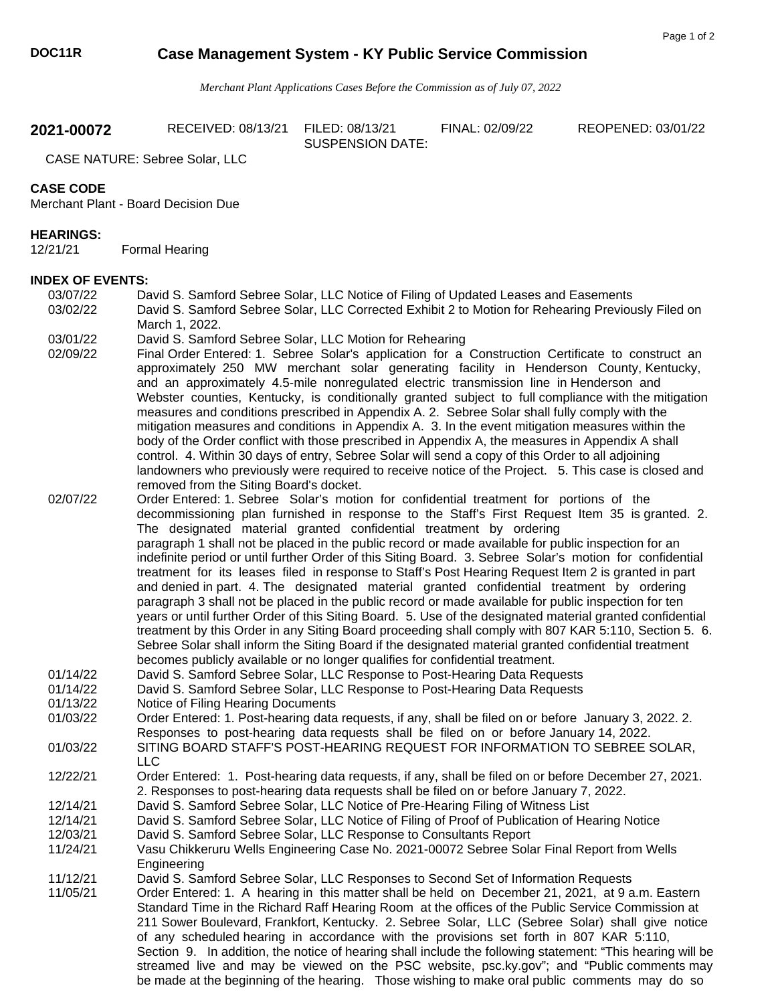## **DOC11R Case Management System - KY Public Service Commission**

*Merchant Plant Applications Cases Before the Commission as of July 07, 2022* 

SUSPENSION DATE:

**2021-00072** RECEIVED: 08/13/21 FILED: 08/13/21 FINAL: 02/09/22 REOPENED: 03/01/22

CASE NATURE: Sebree Solar, LLC

## **CASE CODE**

Merchant Plant - Board Decision Due

## **HEARINGS:**

12/21/21 Formal Hearing

## **INDEX OF EVENTS:**

- 03/07/22 David S. Samford Sebree Solar, LLC Notice of Filing of Updated Leases and Easements 03/02/22 David S. Samford Sebree Solar, LLC Corrected Exhibit 2 to Motion for Rehearing Previously Filed on March 1, 2022.
- 03/01/22 David S. Samford Sebree Solar, LLC Motion for Rehearing
- 02/09/22 Final Order Entered: 1. Sebree Solar's application for a Construction Certificate to construct an approximately 250 MW merchant solar generating facility in Henderson County, Kentucky, and an approximately 4.5-mile nonregulated electric transmission line in Henderson and Webster counties, Kentucky, is conditionally granted subject to full compliance with the mitigation measures and conditions prescribed in Appendix A. 2. Sebree Solar shall fully comply with the mitigation measures and conditions in Appendix A. 3. In the event mitigation measures within the body of the Order conflict with those prescribed in Appendix A, the measures in Appendix A shall control. 4. Within 30 days of entry, Sebree Solar will send a copy of this Order to all adjoining landowners who previously were required to receive notice of the Project. 5. This case is closed and removed from the Siting Board's docket.
- 02/07/22 Order Entered: 1. Sebree Solar's motion for confidential treatment for portions of the decommissioning plan furnished in response to the Staff's First Request Item 35 is granted. 2. The designated material granted confidential treatment by ordering paragraph 1 shall not be placed in the public record or made available for public inspection for an indefinite period or until further Order of this Siting Board. 3. Sebree Solar's motion for confidential treatment for its leases filed in response to Staff's Post Hearing Request Item 2 is granted in part and denied in part. 4. The designated material granted confidential treatment by ordering paragraph 3 shall not be placed in the public record or made available for public inspection for ten years or until further Order of this Siting Board. 5. Use of the designated material granted confidential treatment by this Order in any Siting Board proceeding shall comply with 807 KAR 5:110, Section 5. 6. Sebree Solar shall inform the Siting Board if the designated material granted confidential treatment becomes publicly available or no longer qualifies for confidential treatment.
- 01/14/22 David S. Samford Sebree Solar, LLC Response to Post-Hearing Data Requests
- 01/14/22 David S. Samford Sebree Solar, LLC Response to Post-Hearing Data Requests 01/13/22 Notice of Filing Hearing Documents
- 01/03/22 Order Entered: 1. Post-hearing data requests, if any, shall be filed on or before January 3, 2022. 2. Responses to post-hearing data requests shall be filed on or before January 14, 2022.
- 01/03/22 SITING BOARD STAFF'S POST-HEARING REQUEST FOR INFORMATION TO SEBREE SOLAR, LLC
- 12/22/21 Order Entered: 1. Post-hearing data requests, if any, shall be filed on or before December 27, 2021. 2. Responses to post-hearing data requests shall be filed on or before January 7, 2022.
- 12/14/21 David S. Samford Sebree Solar, LLC Notice of Pre-Hearing Filing of Witness List
- 12/14/21 David S. Samford Sebree Solar, LLC Notice of Filing of Proof of Publication of Hearing Notice
- 12/03/21 David S. Samford Sebree Solar, LLC Response to Consultants Report
- 11/24/21 Vasu Chikkeruru Wells Engineering Case No. 2021-00072 Sebree Solar Final Report from Wells Engineering
- 11/12/21 David S. Samford Sebree Solar, LLC Responses to Second Set of Information Requests
- 11/05/21 Order Entered: 1. A hearing in this matter shall be held on December 21, 2021, at 9 a.m. Eastern Standard Time in the Richard Raff Hearing Room at the offices of the Public Service Commission at 211 Sower Boulevard, Frankfort, Kentucky. 2. Sebree Solar, LLC (Sebree Solar) shall give notice of any scheduled hearing in accordance with the provisions set forth in 807 KAR 5:110, Section 9. In addition, the notice of hearing shall include the following statement: "This hearing will be streamed live and may be viewed on the PSC website, psc.ky.gov"; and "Public comments may be made at the beginning of the hearing. Those wishing to make oral public comments may do so